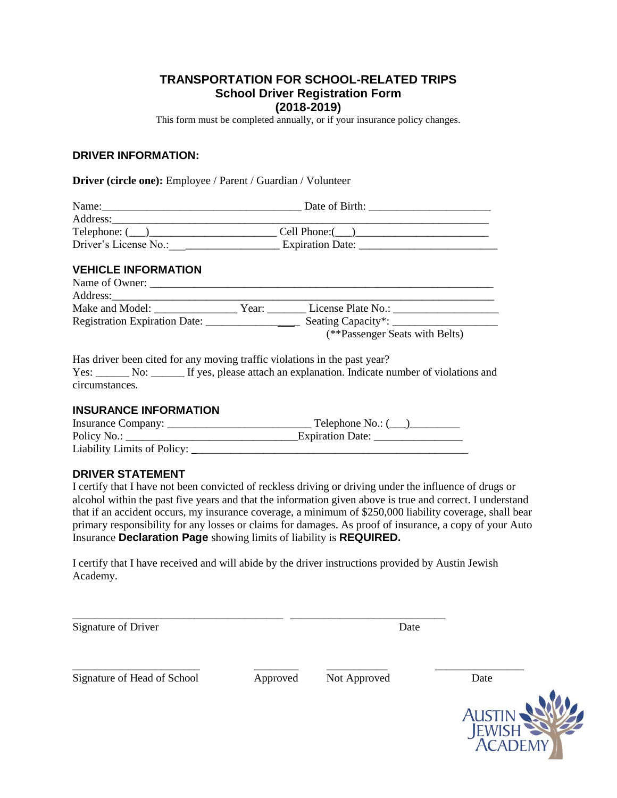## **TRANSPORTATION FOR SCHOOL-RELATED TRIPS School Driver Registration Form (2018-2019)**

This form must be completed annually, or if your insurance policy changes.

#### **DRIVER INFORMATION:**

#### **Driver (circle one):** Employee / Parent / Guardian / Volunteer

| Name:                 | Date of Birth:          |
|-----------------------|-------------------------|
| Address:              |                         |
| Telephone: (          | Cell Phone:             |
| Driver's License No.: | <b>Expiration Date:</b> |

#### **VEHICLE INFORMATION**

| Name of Owner:                |       |                                        |
|-------------------------------|-------|----------------------------------------|
| Address:                      |       |                                        |
| Make and Model:               | Year: | License Plate No.:                     |
| Registration Expiration Date: |       | Seating Capacity <sup>*</sup> : $\_\_$ |
|                               |       | (**Passenger Seats with Belts)         |

Has driver been cited for any moving traffic violations in the past year? Yes: No: If yes, please attach an explanation. Indicate number of violations and circumstances.

#### **INSURANCE INFORMATION**

| Insurance Company:          | Telephone No.: ( |
|-----------------------------|------------------|
| Policy No.:                 | Expiration Date: |
| Liability Limits of Policy: |                  |

### **DRIVER STATEMENT**

I certify that I have not been convicted of reckless driving or driving under the influence of drugs or alcohol within the past five years and that the information given above is true and correct. I understand that if an accident occurs, my insurance coverage, a minimum of \$250,000 liability coverage, shall bear primary responsibility for any losses or claims for damages. As proof of insurance, a copy of your Auto Insurance **Declaration Page** showing limits of liability is **REQUIRED.**

I certify that I have received and will abide by the driver instructions provided by Austin Jewish Academy.

| Signature of Driver | 1.11 |
|---------------------|------|

Signature of Head of School Approved Not Approved Date

\_\_\_\_\_\_\_\_\_\_\_\_\_\_\_\_\_\_\_\_\_\_\_ \_\_\_\_\_\_\_\_ \_\_\_\_\_\_\_\_\_\_\_ \_\_\_\_\_\_\_\_\_\_\_\_\_\_\_\_